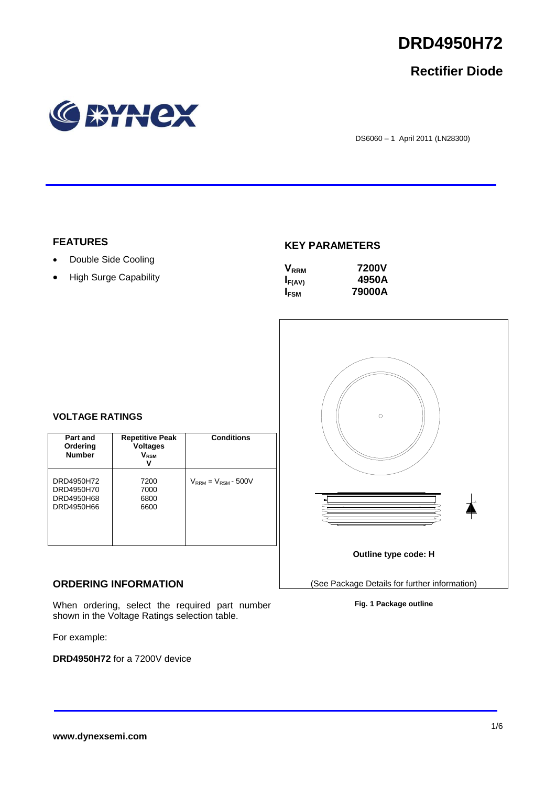

## **Rectifier Diode**



DS6060 – 1 April 2011 (LN28300)

### **FEATURES**

- Double Side Cooling
- High Surge Capability

### **KEY PARAMETERS**

| $\mathsf{V}_{\scriptscriptstyle\sf RRM}$ | 7200V  |
|------------------------------------------|--------|
| $I_{F(AV)}$                              | 4950A  |
| <b>IFSM</b>                              | 79000A |



# **VOLTAGE RATINGS**

| Part and<br>Ordering<br><b>Number</b>                | <b>Repetitive Peak</b><br><b>Voltages</b><br>$V_{RSM}$ | <b>Conditions</b>          |
|------------------------------------------------------|--------------------------------------------------------|----------------------------|
| DRD4950H72<br>DRD4950H70<br>DRD4950H68<br>DRD4950H66 | 7200<br>7000<br>6800<br>6600                           | $V_{RRM} = V_{RSM}$ - 500V |

### **ORDERING INFORMATION**

When ordering, select the required part number shown in the Voltage Ratings selection table.

For example:

**DRD4950H72** for a 7200V device

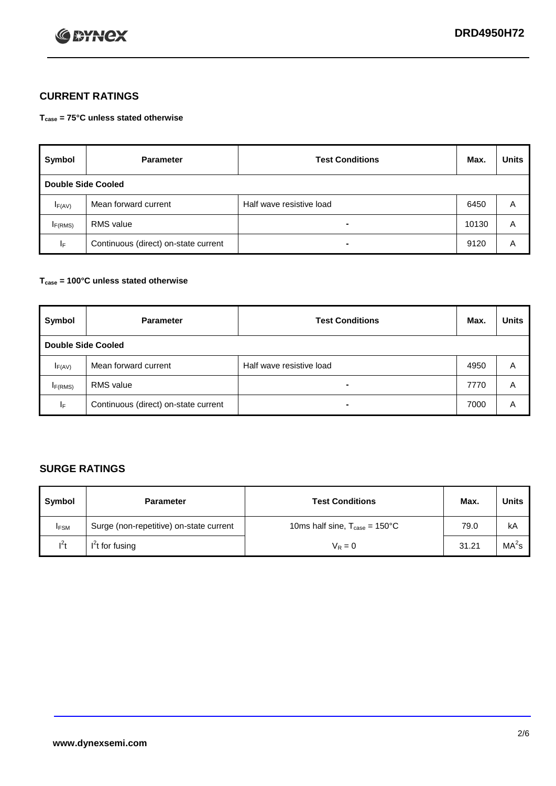

## **CURRENT RATINGS**

**Tcase = 75°C unless stated otherwise**

| Symbol              | <b>Parameter</b>                     | <b>Test Conditions</b>   | Max.  | <b>Units</b> |  |  |
|---------------------|--------------------------------------|--------------------------|-------|--------------|--|--|
|                     | Double Side Cooled                   |                          |       |              |  |  |
| $I_{F(AV)}$         | Mean forward current                 | Half wave resistive load | 6450  | A            |  |  |
| I <sub>F(RMS)</sub> | <b>RMS</b> value                     | -                        | 10130 | A            |  |  |
| IF.                 | Continuous (direct) on-state current | -                        | 9120  | A            |  |  |

### **Tcase = 100°C unless stated otherwise**

| Symbol              | <b>Parameter</b>                     | <b>Test Conditions</b>   | Max. | <b>Units</b> |  |
|---------------------|--------------------------------------|--------------------------|------|--------------|--|
|                     | <b>Double Side Cooled</b>            |                          |      |              |  |
| $I_{F(AV)}$         | Mean forward current                 | Half wave resistive load | 4950 | Α            |  |
| I <sub>F(RMS)</sub> | <b>RMS</b> value                     | $\overline{\phantom{0}}$ | 7770 | A            |  |
| IF                  | Continuous (direct) on-state current | ۰                        | 7000 | A            |  |

## **SURGE RATINGS**

| Symbol      | <b>Parameter</b>                        | <b>Test Conditions</b>                            | Max.  | <b>Units</b>      |
|-------------|-----------------------------------------|---------------------------------------------------|-------|-------------------|
| <b>IFSM</b> | Surge (non-repetitive) on-state current | 10ms half sine, $T_{\text{case}} = 150^{\circ}$ C | 79.0  | kA                |
| $l^2t$      | I <sup>'</sup> t for fusing             | $V_R = 0$                                         | 31.21 | MA <sup>2</sup> s |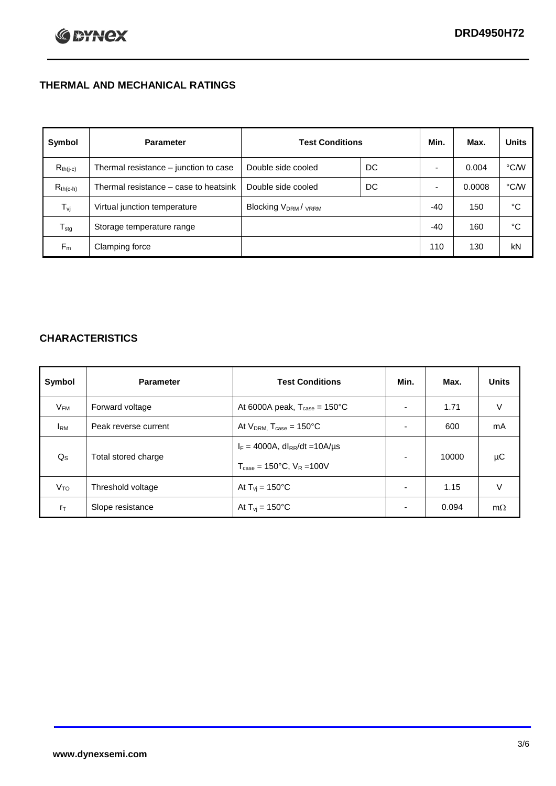## **THERMAL AND MECHANICAL RATINGS**

| Symbol           | <b>Parameter</b>                      | <b>Test Conditions</b>                      |    | Min.  | Max.   | <b>Units</b> |
|------------------|---------------------------------------|---------------------------------------------|----|-------|--------|--------------|
| $R_{th(j-c)}$    | Thermal resistance - junction to case | Double side cooled                          | DC |       | 0.004  | °C/W         |
| $R_{th(c-h)}$    | Thermal resistance – case to heatsink | Double side cooled                          | DC |       | 0.0008 | °C/W         |
| $T_{\rm vj}$     | Virtual junction temperature          | Blocking V <sub>DRM</sub> / <sub>VRRM</sub> |    | $-40$ | 150    | °C           |
| $T_{\text{stg}}$ | Storage temperature range             |                                             |    | $-40$ | 160    | °C           |
| $F_m$            | Clamping force                        |                                             |    | 110   | 130    | kN           |

## **CHARACTERISTICS**

| Symbol                   | <b>Parameter</b>     | <b>Test Conditions</b>                                                                           | Min.                     | Max.  | <b>Units</b> |
|--------------------------|----------------------|--------------------------------------------------------------------------------------------------|--------------------------|-------|--------------|
| $\mathsf{V}_\mathsf{FM}$ | Forward voltage      | At 6000A peak, $T_{\text{case}} = 150^{\circ}$ C                                                 |                          | 1.71  | V            |
| <b>I</b> <sub>RM</sub>   | Peak reverse current | At $V_{DRM}$ , $T_{case} = 150^{\circ}$ C                                                        | ۰                        | 600   | mA           |
| $Q_{\rm S}$              | Total stored charge  | $I_F = 4000A$ , dl <sub>RR</sub> /dt = 10A/us<br>$T_{\text{case}} = 150^{\circ}$ C, $V_R = 100V$ | $\overline{\phantom{0}}$ | 10000 | μC           |
| V <sub>TO</sub>          | Threshold voltage    | At $T_{vi} = 150^{\circ}$ C                                                                      | $\blacksquare$           | 1.15  | V            |
| $r_{\text{T}}$           | Slope resistance     | At $T_{vi} = 150^{\circ}$ C                                                                      | ۰                        | 0.094 | $m\Omega$    |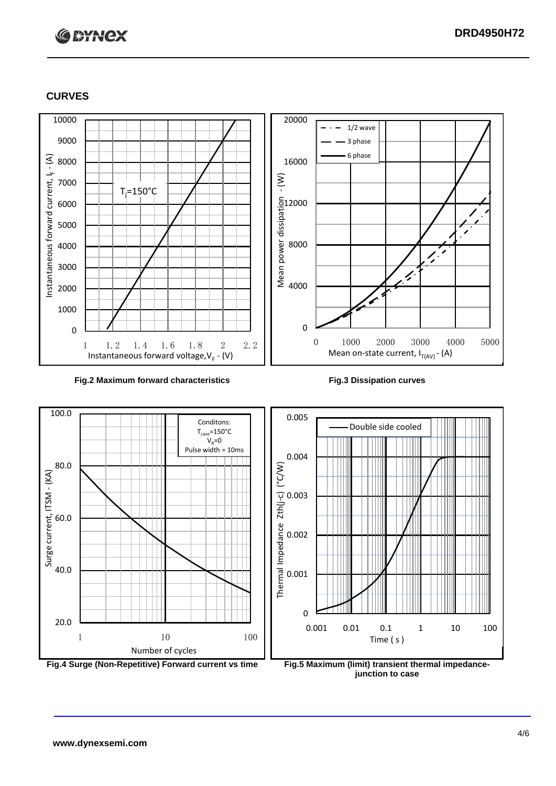# **C BYNCX**

### **CURVES**



### **Fig.2 Maximum forward characteristics Fig.3 Dissipation curves**





**junction to case**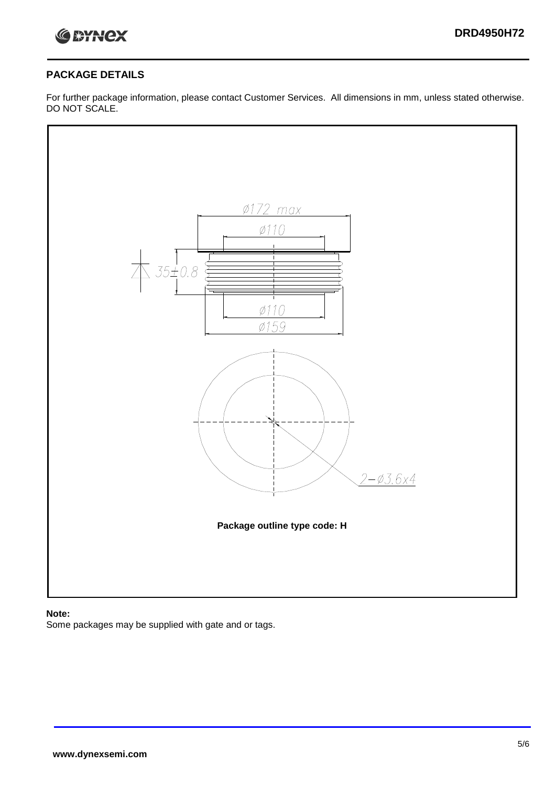

### **PACKAGE DETAILS**

For further package information, please contact Customer Services. All dimensions in mm, unless stated otherwise. DO NOT SCALE.



### **Note:**

Some packages may be supplied with gate and or tags.